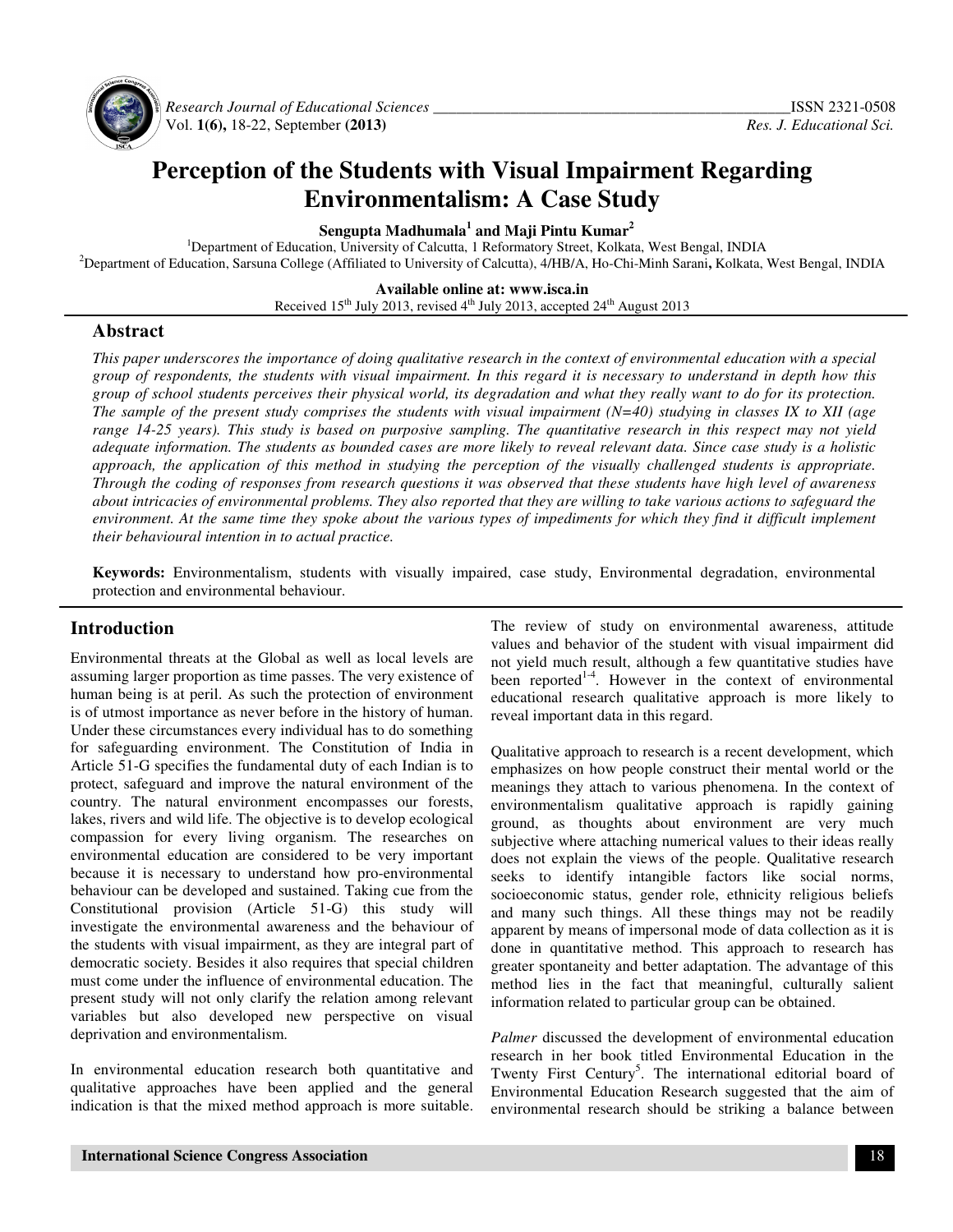

 *Research Journal of Educational Sciences \_\_\_\_\_\_\_\_\_\_\_\_\_\_\_\_\_\_\_\_\_\_\_\_\_\_\_\_\_\_\_\_\_\_\_\_\_\_\_\_\_\_\_\_\_\_*ISSN 2321-0508 Vol. **1(6),** 18-22, September **(2013)** *Res. J. Educational Sci.*

# **Perception of the Students with Visual Impairment Regarding Environmentalism: A Case Study**

**Sengupta Madhumala<sup>1</sup> and Maji Pintu Kumar<sup>2</sup>**

<sup>1</sup>Department of Education, University of Calcutta, 1 Reformatory Street, Kolkata, West Bengal, INDIA <sup>2</sup>Department of Education, Sarsuna College (Affiliated to University of Calcutta), 4/HB/A, Ho-Chi-Minh Sarani**,** Kolkata, West Bengal, INDIA

**Available online at: www.isca.in** 

Received 15<sup>th</sup> July 2013, revised 4<sup>th</sup> July 2013, accepted 24<sup>th</sup> August 2013

#### **Abstract**

*This paper underscores the importance of doing qualitative research in the context of environmental education with a special group of respondents, the students with visual impairment. In this regard it is necessary to understand in depth how this group of school students perceives their physical world, its degradation and what they really want to do for its protection. The sample of the present study comprises the students with visual impairment (N=40) studying in classes IX to XII (age range 14-25 years). This study is based on purposive sampling. The quantitative research in this respect may not yield adequate information. The students as bounded cases are more likely to reveal relevant data. Since case study is a holistic approach, the application of this method in studying the perception of the visually challenged students is appropriate. Through the coding of responses from research questions it was observed that these students have high level of awareness about intricacies of environmental problems. They also reported that they are willing to take various actions to safeguard the environment. At the same time they spoke about the various types of impediments for which they find it difficult implement their behavioural intention in to actual practice.* 

**Keywords:** Environmentalism, students with visually impaired, case study, Environmental degradation, environmental protection and environmental behaviour.

# **Introduction**

Environmental threats at the Global as well as local levels are assuming larger proportion as time passes. The very existence of human being is at peril. As such the protection of environment is of utmost importance as never before in the history of human. Under these circumstances every individual has to do something for safeguarding environment. The Constitution of India in Article 51-G specifies the fundamental duty of each Indian is to protect, safeguard and improve the natural environment of the country. The natural environment encompasses our forests, lakes, rivers and wild life. The objective is to develop ecological compassion for every living organism. The researches on environmental education are considered to be very important because it is necessary to understand how pro-environmental behaviour can be developed and sustained. Taking cue from the Constitutional provision (Article 51-G) this study will investigate the environmental awareness and the behaviour of the students with visual impairment, as they are integral part of democratic society. Besides it also requires that special children must come under the influence of environmental education. The present study will not only clarify the relation among relevant variables but also developed new perspective on visual deprivation and environmentalism.

In environmental education research both quantitative and qualitative approaches have been applied and the general indication is that the mixed method approach is more suitable. The review of study on environmental awareness, attitude values and behavior of the student with visual impairment did not yield much result, although a few quantitative studies have been reported $1-4$ . However in the context of environmental educational research qualitative approach is more likely to reveal important data in this regard.

Qualitative approach to research is a recent development, which emphasizes on how people construct their mental world or the meanings they attach to various phenomena. In the context of environmentalism qualitative approach is rapidly gaining ground, as thoughts about environment are very much subjective where attaching numerical values to their ideas really does not explain the views of the people. Qualitative research seeks to identify intangible factors like social norms, socioeconomic status, gender role, ethnicity religious beliefs and many such things. All these things may not be readily apparent by means of impersonal mode of data collection as it is done in quantitative method. This approach to research has greater spontaneity and better adaptation. The advantage of this method lies in the fact that meaningful, culturally salient information related to particular group can be obtained.

*Palmer* discussed the development of environmental education research in her book titled Environmental Education in the Twenty First Century<sup>5</sup>. The international editorial board of Environmental Education Research suggested that the aim of environmental research should be striking a balance between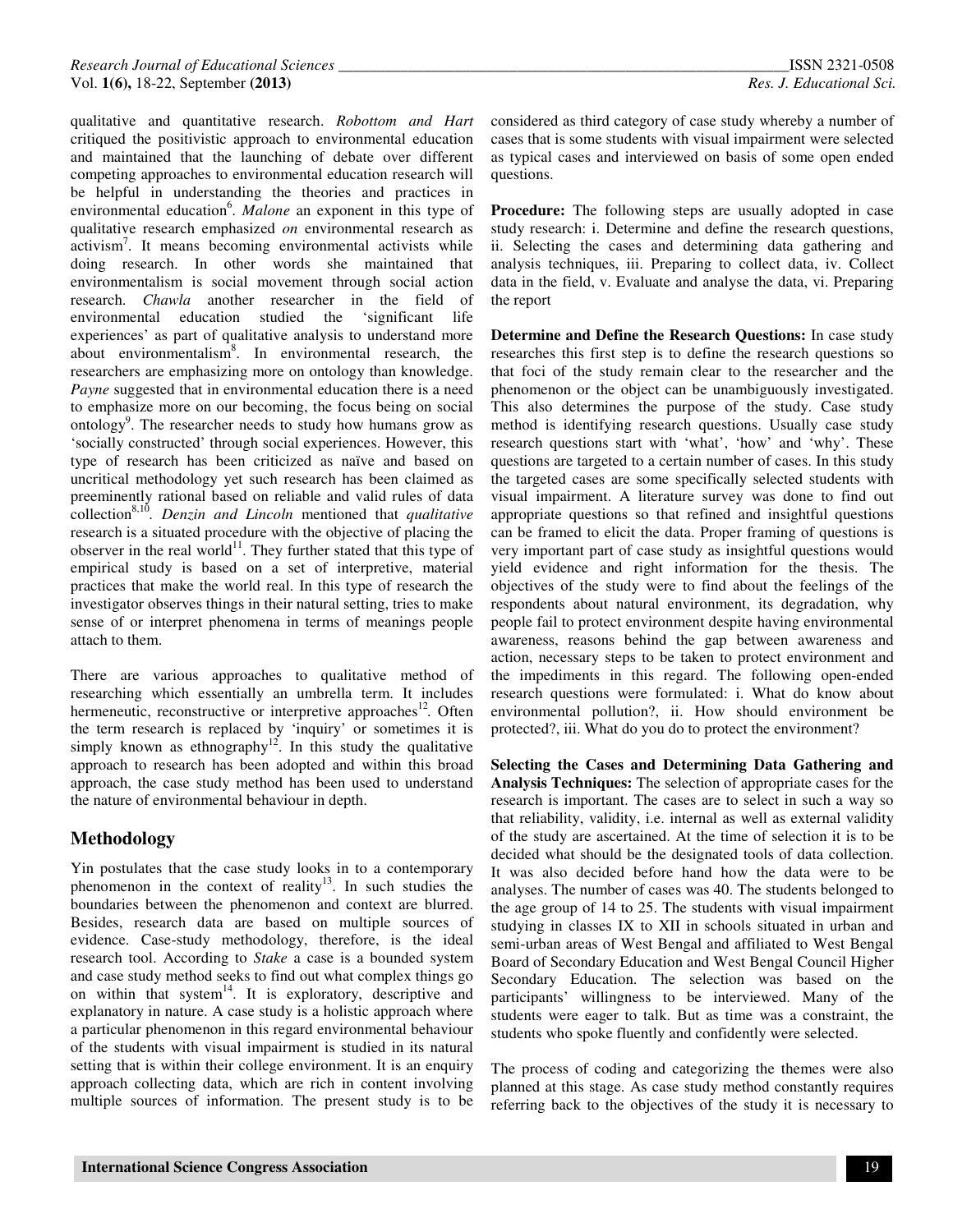qualitative and quantitative research. *Robottom and Hart*  critiqued the positivistic approach to environmental education and maintained that the launching of debate over different competing approaches to environmental education research will be helpful in understanding the theories and practices in environmental education<sup>6</sup>. Malone an exponent in this type of qualitative research emphasized *on* environmental research as activism<sup>7</sup>. It means becoming environmental activists while doing research. In other words she maintained that environmentalism is social movement through social action research. *Chawla* another researcher in the field of environmental education studied the 'significant life experiences' as part of qualitative analysis to understand more about environmentalism<sup>8</sup>. In environmental research, the researchers are emphasizing more on ontology than knowledge. *Payne* suggested that in environmental education there is a need to emphasize more on our becoming, the focus being on social ontology<sup>9</sup>. The researcher needs to study how humans grow as 'socially constructed' through social experiences. However, this type of research has been criticized as naïve and based on uncritical methodology yet such research has been claimed as preeminently rational based on reliable and valid rules of data collection8,10 *. Denzin and Lincoln* mentioned that *qualitative* research is a situated procedure with the objective of placing the observer in the real world<sup>11</sup>. They further stated that this type of empirical study is based on a set of interpretive, material practices that make the world real. In this type of research the investigator observes things in their natural setting, tries to make sense of or interpret phenomena in terms of meanings people attach to them.

There are various approaches to qualitative method of researching which essentially an umbrella term. It includes hermeneutic, reconstructive or interpretive approaches<sup>12</sup>. Often the term research is replaced by 'inquiry' or sometimes it is  $\frac{1}{2}$  simply known as ethnography<sup>12</sup>. In this study the qualitative approach to research has been adopted and within this broad approach, the case study method has been used to understand the nature of environmental behaviour in depth.

# **Methodology**

Yin postulates that the case study looks in to a contemporary phenomenon in the context of reality<sup>13</sup>. In such studies the boundaries between the phenomenon and context are blurred. Besides, research data are based on multiple sources of evidence. Case-study methodology, therefore, is the ideal research tool. According to *Stake* a case is a bounded system and case study method seeks to find out what complex things go on within that system<sup>14</sup>. It is exploratory, descriptive and explanatory in nature. A case study is a holistic approach where a particular phenomenon in this regard environmental behaviour of the students with visual impairment is studied in its natural setting that is within their college environment. It is an enquiry approach collecting data, which are rich in content involving multiple sources of information. The present study is to be

considered as third category of case study whereby a number of cases that is some students with visual impairment were selected as typical cases and interviewed on basis of some open ended questions.

**Procedure:** The following steps are usually adopted in case study research: i. Determine and define the research questions, ii. Selecting the cases and determining data gathering and analysis techniques, iii. Preparing to collect data, iv. Collect data in the field, v. Evaluate and analyse the data, vi. Preparing the report

**Determine and Define the Research Questions:** In case study researches this first step is to define the research questions so that foci of the study remain clear to the researcher and the phenomenon or the object can be unambiguously investigated. This also determines the purpose of the study. Case study method is identifying research questions. Usually case study research questions start with 'what', 'how' and 'why'. These questions are targeted to a certain number of cases. In this study the targeted cases are some specifically selected students with visual impairment. A literature survey was done to find out appropriate questions so that refined and insightful questions can be framed to elicit the data. Proper framing of questions is very important part of case study as insightful questions would yield evidence and right information for the thesis. The objectives of the study were to find about the feelings of the respondents about natural environment, its degradation, why people fail to protect environment despite having environmental awareness, reasons behind the gap between awareness and action, necessary steps to be taken to protect environment and the impediments in this regard. The following open-ended research questions were formulated: i. What do know about environmental pollution?, ii. How should environment be protected?, iii. What do you do to protect the environment?

**Selecting the Cases and Determining Data Gathering and Analysis Techniques:** The selection of appropriate cases for the research is important. The cases are to select in such a way so that reliability, validity, i.e. internal as well as external validity of the study are ascertained. At the time of selection it is to be decided what should be the designated tools of data collection. It was also decided before hand how the data were to be analyses. The number of cases was 40. The students belonged to the age group of 14 to 25. The students with visual impairment studying in classes IX to XII in schools situated in urban and semi-urban areas of West Bengal and affiliated to West Bengal Board of Secondary Education and West Bengal Council Higher Secondary Education. The selection was based on the participants' willingness to be interviewed. Many of the students were eager to talk. But as time was a constraint, the students who spoke fluently and confidently were selected.

The process of coding and categorizing the themes were also planned at this stage. As case study method constantly requires referring back to the objectives of the study it is necessary to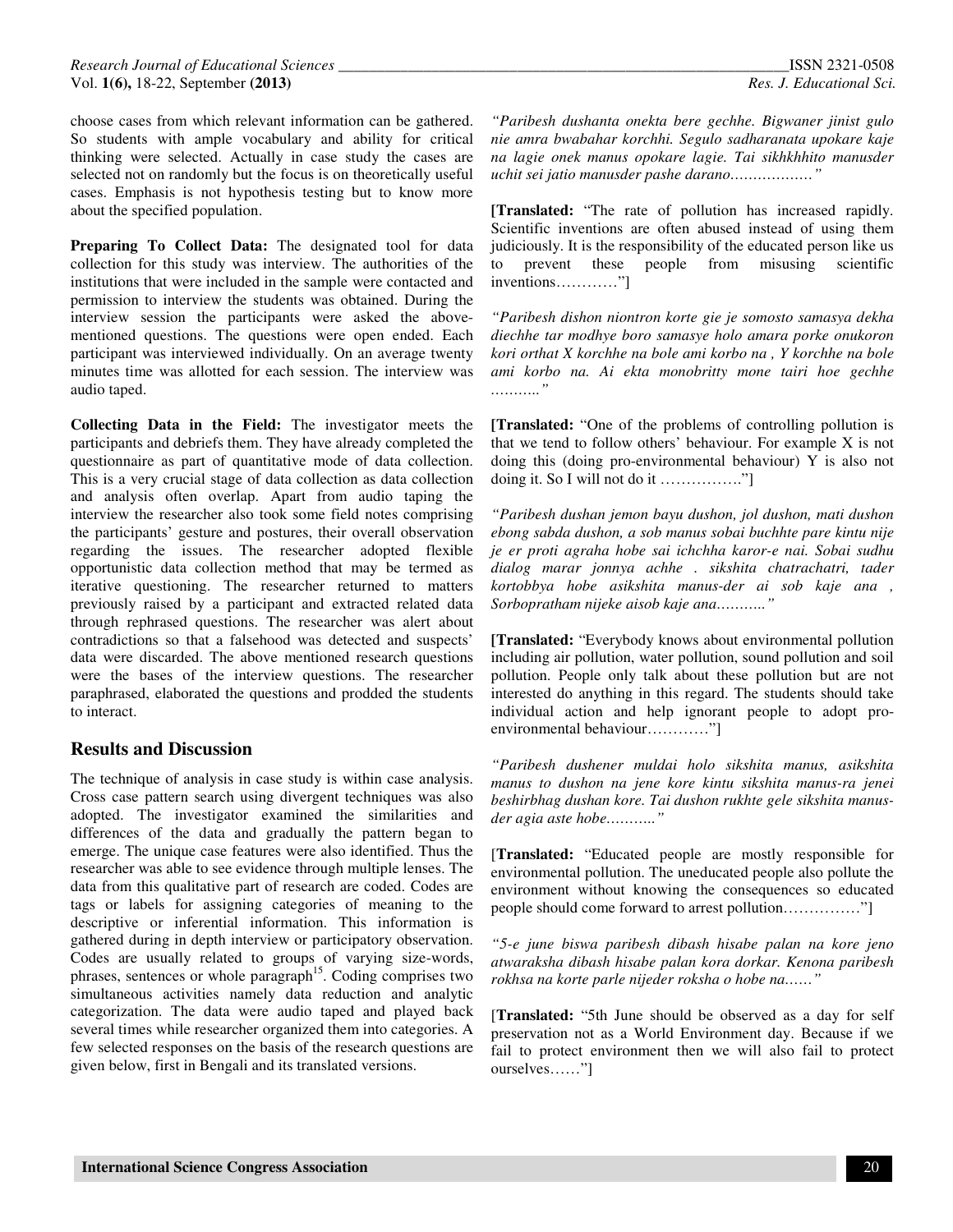choose cases from which relevant information can be gathered. So students with ample vocabulary and ability for critical thinking were selected. Actually in case study the cases are selected not on randomly but the focus is on theoretically useful cases. Emphasis is not hypothesis testing but to know more about the specified population.

Preparing To Collect Data: The designated tool for data collection for this study was interview. The authorities of the institutions that were included in the sample were contacted and permission to interview the students was obtained. During the interview session the participants were asked the abovementioned questions. The questions were open ended. Each participant was interviewed individually. On an average twenty minutes time was allotted for each session. The interview was audio taped.

**Collecting Data in the Field:** The investigator meets the participants and debriefs them. They have already completed the questionnaire as part of quantitative mode of data collection. This is a very crucial stage of data collection as data collection and analysis often overlap. Apart from audio taping the interview the researcher also took some field notes comprising the participants' gesture and postures, their overall observation regarding the issues. The researcher adopted flexible opportunistic data collection method that may be termed as iterative questioning. The researcher returned to matters previously raised by a participant and extracted related data through rephrased questions. The researcher was alert about contradictions so that a falsehood was detected and suspects' data were discarded. The above mentioned research questions were the bases of the interview questions. The researcher paraphrased, elaborated the questions and prodded the students to interact.

### **Results and Discussion**

The technique of analysis in case study is within case analysis. Cross case pattern search using divergent techniques was also adopted. The investigator examined the similarities and differences of the data and gradually the pattern began to emerge. The unique case features were also identified. Thus the researcher was able to see evidence through multiple lenses. The data from this qualitative part of research are coded. Codes are tags or labels for assigning categories of meaning to the descriptive or inferential information. This information is gathered during in depth interview or participatory observation. Codes are usually related to groups of varying size-words, phrases, sentences or whole paragraph<sup>15</sup>. Coding comprises two simultaneous activities namely data reduction and analytic categorization. The data were audio taped and played back several times while researcher organized them into categories. A few selected responses on the basis of the research questions are given below, first in Bengali and its translated versions.

*"Paribesh dushanta onekta bere gechhe. Bigwaner jinist gulo nie amra bwabahar korchhi. Segulo sadharanata upokare kaje na lagie onek manus opokare lagie. Tai sikhkhhito manusder uchit sei jatio manusder pashe darano………………"* 

**[Translated:** "The rate of pollution has increased rapidly. Scientific inventions are often abused instead of using them judiciously. It is the responsibility of the educated person like us to prevent these people from misusing scientific inventions…………"]

*"Paribesh dishon niontron korte gie je somosto samasya dekha diechhe tar modhye boro samasye holo amara porke onukoron kori orthat X korchhe na bole ami korbo na , Y korchhe na bole ami korbo na. Ai ekta monobritty mone tairi hoe gechhe ……….."* 

**[Translated:** "One of the problems of controlling pollution is that we tend to follow others' behaviour. For example X is not doing this (doing pro-environmental behaviour) Y is also not doing it. So I will not do it ……………."]

*"Paribesh dushan jemon bayu dushon, jol dushon, mati dushon ebong sabda dushon, a sob manus sobai buchhte pare kintu nije je er proti agraha hobe sai ichchha karor-e nai. Sobai sudhu dialog marar jonnya achhe . sikshita chatrachatri, tader kortobbya hobe asikshita manus-der ai sob kaje ana , Sorbopratham nijeke aisob kaje ana……….."* 

**[Translated:** "Everybody knows about environmental pollution including air pollution, water pollution, sound pollution and soil pollution. People only talk about these pollution but are not interested do anything in this regard. The students should take individual action and help ignorant people to adopt proenvironmental behaviour…………"]

*"Paribesh dushener muldai holo sikshita manus, asikshita manus to dushon na jene kore kintu sikshita manus-ra jenei beshirbhag dushan kore. Tai dushon rukhte gele sikshita manusder agia aste hobe……….."* 

[**Translated:** "Educated people are mostly responsible for environmental pollution. The uneducated people also pollute the environment without knowing the consequences so educated people should come forward to arrest pollution……………"]

*"5-e june biswa paribesh dibash hisabe palan na kore jeno atwaraksha dibash hisabe palan kora dorkar. Kenona paribesh rokhsa na korte parle nijeder roksha o hobe na……"* 

[**Translated:** "5th June should be observed as a day for self preservation not as a World Environment day. Because if we fail to protect environment then we will also fail to protect ourselves……"]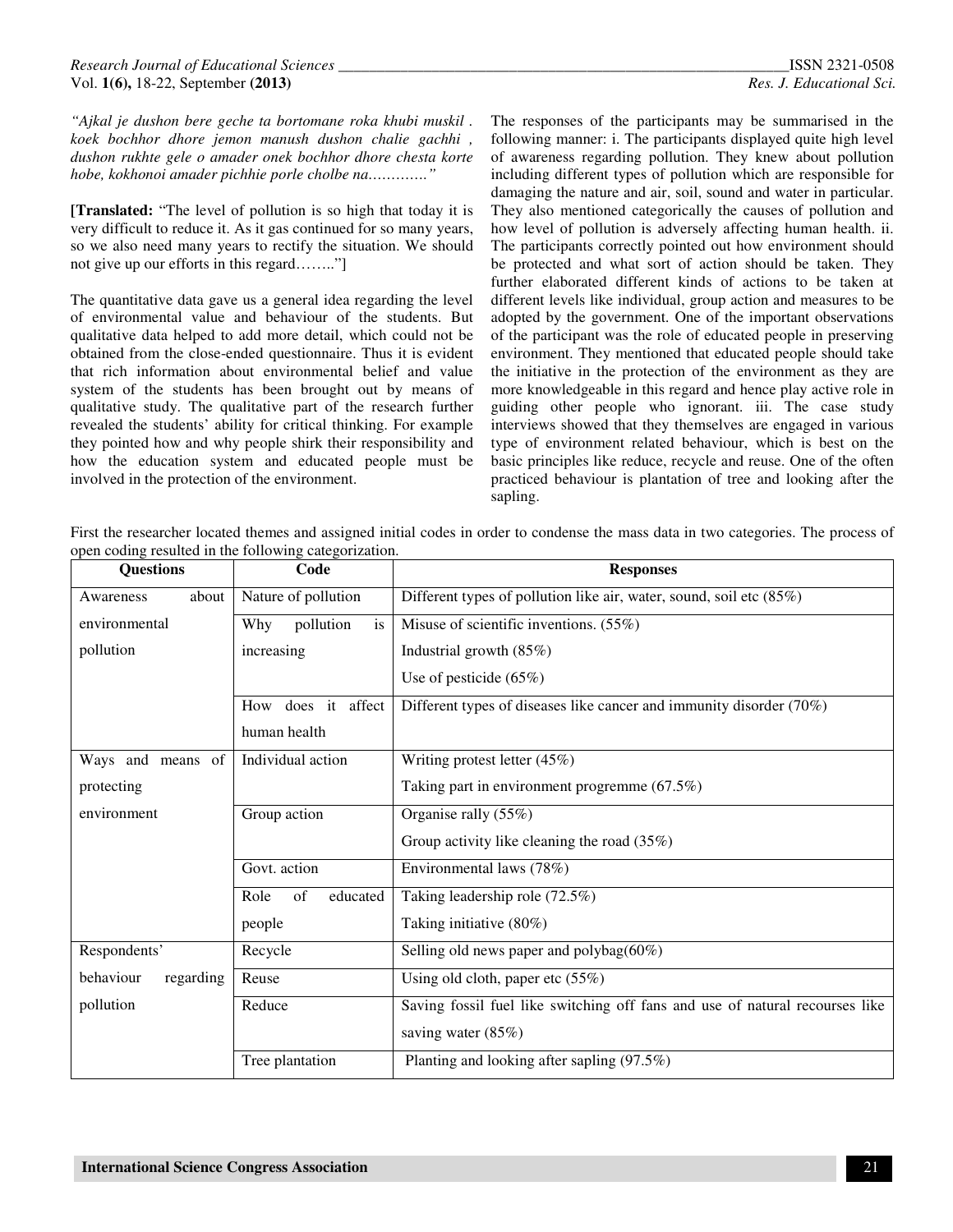*"Ajkal je dushon bere geche ta bortomane roka khubi muskil . koek bochhor dhore jemon manush dushon chalie gachhi , dushon rukhte gele o amader onek bochhor dhore chesta korte hobe, kokhonoi amader pichhie porle cholbe na…………."*

**[Translated:** "The level of pollution is so high that today it is very difficult to reduce it. As it gas continued for so many years, so we also need many years to rectify the situation. We should not give up our efforts in this regard…….."]

The quantitative data gave us a general idea regarding the level of environmental value and behaviour of the students. But qualitative data helped to add more detail, which could not be obtained from the close-ended questionnaire. Thus it is evident that rich information about environmental belief and value system of the students has been brought out by means of qualitative study. The qualitative part of the research further revealed the students' ability for critical thinking. For example they pointed how and why people shirk their responsibility and how the education system and educated people must be involved in the protection of the environment.

The responses of the participants may be summarised in the following manner: i. The participants displayed quite high level of awareness regarding pollution. They knew about pollution including different types of pollution which are responsible for damaging the nature and air, soil, sound and water in particular. They also mentioned categorically the causes of pollution and how level of pollution is adversely affecting human health. ii. The participants correctly pointed out how environment should be protected and what sort of action should be taken. They further elaborated different kinds of actions to be taken at different levels like individual, group action and measures to be adopted by the government. One of the important observations of the participant was the role of educated people in preserving environment. They mentioned that educated people should take the initiative in the protection of the environment as they are more knowledgeable in this regard and hence play active role in guiding other people who ignorant. iii. The case study interviews showed that they themselves are engaged in various type of environment related behaviour, which is best on the basic principles like reduce, recycle and reuse. One of the often practiced behaviour is plantation of tree and looking after the sapling.

First the researcher located themes and assigned initial codes in order to condense the mass data in two categories. The process of open coding resulted in the following categorization.

| <b>Questions</b>       | Code                   | <b>Responses</b>                                                             |
|------------------------|------------------------|------------------------------------------------------------------------------|
| about<br>Awareness     | Nature of pollution    | Different types of pollution like air, water, sound, soil etc (85%)          |
| environmental          | pollution<br>Why<br>is | Misuse of scientific inventions. $(55\%)$                                    |
| pollution              | increasing             | Industrial growth (85%)                                                      |
|                        |                        | Use of pesticide $(65\%)$                                                    |
|                        | How does it affect     | Different types of diseases like cancer and immunity disorder (70%)          |
|                        | human health           |                                                                              |
| Ways and means of      | Individual action      | Writing protest letter (45%)                                                 |
| protecting             |                        | Taking part in environment progremme (67.5%)                                 |
| environment            | Group action           | Organise rally $(55\%)$                                                      |
|                        |                        | Group activity like cleaning the road (35%)                                  |
|                        | Govt. action           | Environmental laws (78%)                                                     |
|                        | Role<br>of<br>educated | Taking leadership role (72.5%)                                               |
|                        | people                 | Taking initiative (80%)                                                      |
| Respondents'           | Recycle                | Selling old news paper and polybag $(60\%)$                                  |
| behaviour<br>regarding | Reuse                  | Using old cloth, paper etc $(55%)$                                           |
| pollution              | Reduce                 | Saving fossil fuel like switching off fans and use of natural recourses like |
|                        |                        | saving water (85%)                                                           |
|                        | Tree plantation        | Planting and looking after sapling (97.5%)                                   |